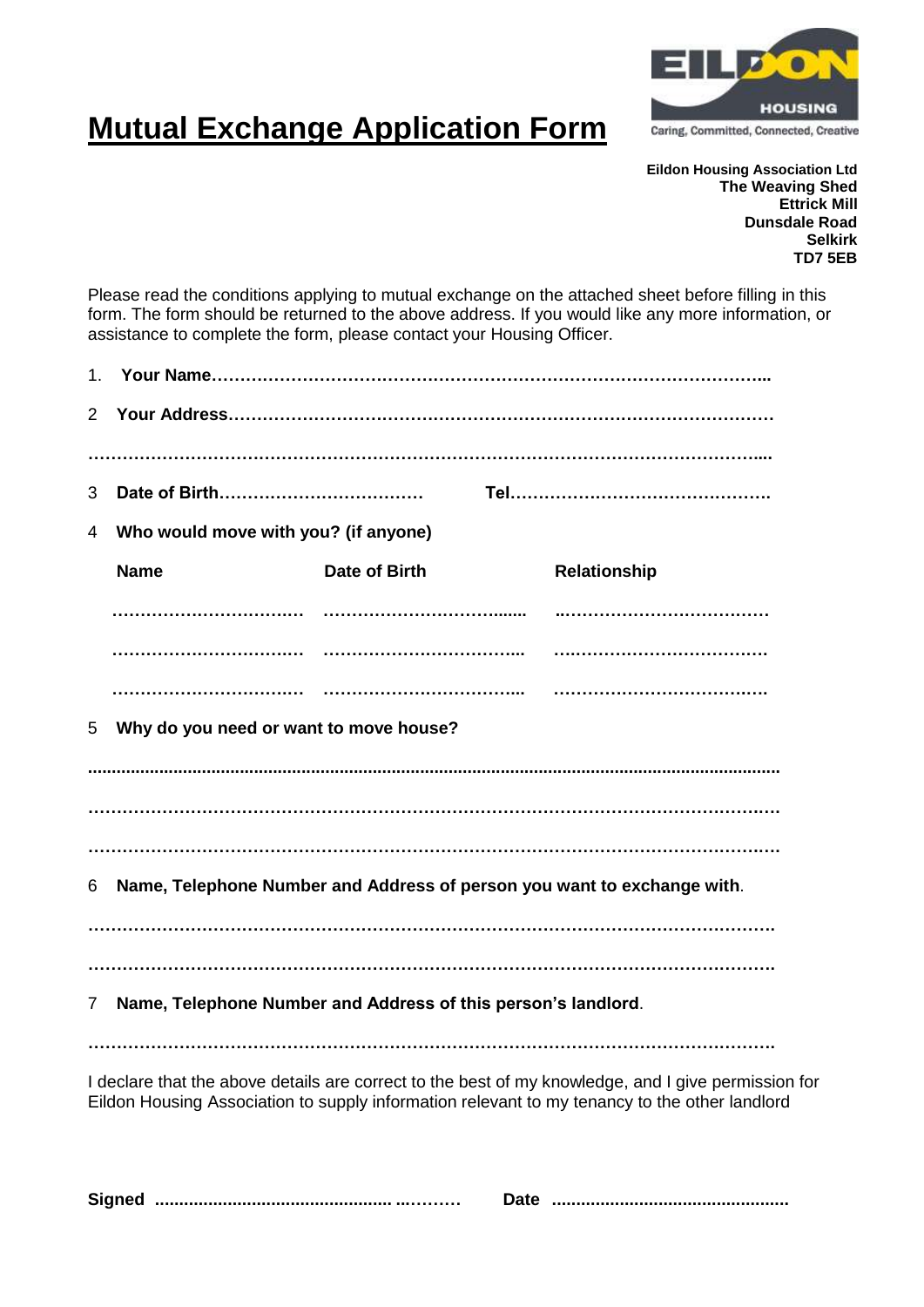

## **Mutual Exchange Application Form**

**Eildon Housing Association Ltd The Weaving Shed Ettrick Mill Dunsdale Road Selkirk TD7 5EB**

Please read the conditions applying to mutual exchange on the attached sheet before filling in this form. The form should be returned to the above address. If you would like any more information, or assistance to complete the form, please contact your Housing Officer.

| 1 <sub>1</sub>                                                                                                                                                                                       |                                        |                                                                         |              |
|------------------------------------------------------------------------------------------------------------------------------------------------------------------------------------------------------|----------------------------------------|-------------------------------------------------------------------------|--------------|
| $\overline{2}$                                                                                                                                                                                       |                                        |                                                                         |              |
|                                                                                                                                                                                                      |                                        |                                                                         |              |
| 3                                                                                                                                                                                                    |                                        |                                                                         |              |
| 4                                                                                                                                                                                                    | Who would move with you? (if anyone)   |                                                                         |              |
|                                                                                                                                                                                                      | <b>Name</b>                            | Date of Birth                                                           | Relationship |
|                                                                                                                                                                                                      |                                        |                                                                         |              |
|                                                                                                                                                                                                      |                                        |                                                                         |              |
|                                                                                                                                                                                                      |                                        |                                                                         |              |
| 5                                                                                                                                                                                                    | Why do you need or want to move house? |                                                                         |              |
|                                                                                                                                                                                                      |                                        |                                                                         |              |
|                                                                                                                                                                                                      |                                        |                                                                         |              |
|                                                                                                                                                                                                      |                                        |                                                                         |              |
| 6                                                                                                                                                                                                    |                                        | Name, Telephone Number and Address of person you want to exchange with. |              |
|                                                                                                                                                                                                      |                                        |                                                                         |              |
| Name, Telephone Number and Address of this person's landlord.<br>7                                                                                                                                   |                                        |                                                                         |              |
|                                                                                                                                                                                                      |                                        |                                                                         |              |
| I declare that the above details are correct to the best of my knowledge, and I give permission for<br>Eildon Housing Association to supply information relevant to my tenancy to the other landlord |                                        |                                                                         |              |

**Signed ................................................. ...……… Date .................................................**